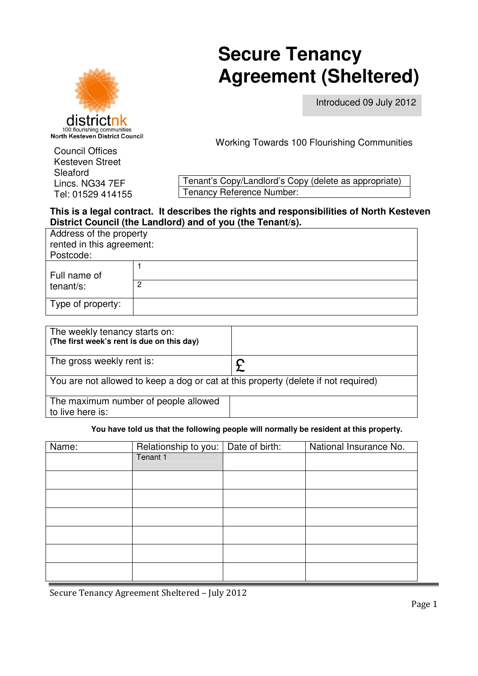# districtn 100 flourishing communities<br>North Kesteven District Council

# **Secure Tenancy Secure Tenancy Agreement (Sheltered)**

Introduced 09 July 2012

Working Towards 100 Flourishing Communities

Council Offices Kesteven Street Kesteven Street Sleaford Lincs. NG34 7EF Sleaford Lincs. NG34 7EF Tel: 01529 414155 Tel: 01529 414155

Tenant's Copy/Landlord's Copy (delete as appropriate) Tenancy Reference Number:

# **This is a legal contract. It describes the rights and responsibilities of North Kesteven District Council (the Landlord) and of you (the Tenant/s).**

| Address of the property<br>rented in this agreement:<br>Postcode: |   |  |  |
|-------------------------------------------------------------------|---|--|--|
| Full name of                                                      |   |  |  |
| tenant/s:                                                         | 2 |  |  |
| Type of property:                                                 |   |  |  |

| The weekly tenancy starts on:<br>(The first week's rent is due on this day)        |  |  |  |  |
|------------------------------------------------------------------------------------|--|--|--|--|
| The gross weekly rent is:                                                          |  |  |  |  |
| You are not allowed to keep a dog or cat at this property (delete if not required) |  |  |  |  |
| The maximum number of people allowed<br>to live here is:                           |  |  |  |  |

## **You have told us that the following people will normally be resident at this property.**

| Name: | Relationship to you:   Date of birth: | National Insurance No. |  |  |  |
|-------|---------------------------------------|------------------------|--|--|--|
|       | Tenant 1                              |                        |  |  |  |
|       |                                       |                        |  |  |  |
|       |                                       |                        |  |  |  |
|       |                                       |                        |  |  |  |
|       |                                       |                        |  |  |  |
|       |                                       |                        |  |  |  |
|       |                                       |                        |  |  |  |
|       |                                       |                        |  |  |  |

Secure Tenancy Agreement Sheltered – July 2012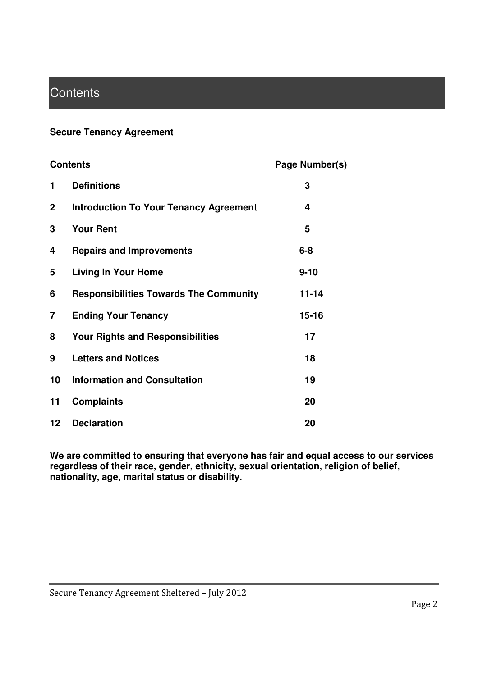# **Contents**

# **Secure Tenancy Agreement**

| <b>Contents</b> |                                               | Page Number(s) |
|-----------------|-----------------------------------------------|----------------|
| 1               | <b>Definitions</b>                            | 3              |
| $\mathbf 2$     | <b>Introduction To Your Tenancy Agreement</b> | 4              |
| 3               | <b>Your Rent</b>                              | 5              |
| 4               | <b>Repairs and Improvements</b>               | $6 - 8$        |
| 5               | <b>Living In Your Home</b>                    | $9 - 10$       |
| 6               | <b>Responsibilities Towards The Community</b> | $11 - 14$      |
| 7               | <b>Ending Your Tenancy</b>                    | $15 - 16$      |
| 8               | <b>Your Rights and Responsibilities</b>       | 17             |
| 9               | <b>Letters and Notices</b>                    | 18             |
| 10              | <b>Information and Consultation</b>           | 19             |
| 11              | <b>Complaints</b>                             | 20             |
| 12              | <b>Declaration</b>                            | 20             |

**We are committed to ensuring that everyone has fair and equal access to our services regardless of their race, gender, ethnicity, sexual orientation, religion of belief, nationality, age, marital status or disability.**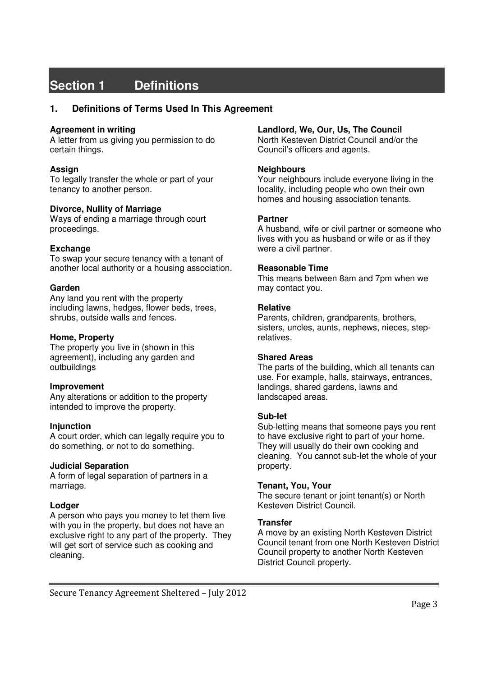# **Section 1 Definitions**

## **1. Definitions of Terms Used In This Agreement**

#### **Agreement in writing**

A letter from us giving you permission to do certain things.

#### **Assign**

To legally transfer the whole or part of your tenancy to another person.

#### **Divorce, Nullity of Marriage**

Ways of ending a marriage through court proceedings.

## **Exchange**

To swap your secure tenancy with a tenant of another local authority or a housing association.

#### **Garden**

Any land you rent with the property including lawns, hedges, flower beds, trees, shrubs, outside walls and fences.

#### **Home, Property**

The property you live in (shown in this agreement), including any garden and outbuildings

#### **Improvement**

Any alterations or addition to the property intended to improve the property.

#### **Injunction**

A court order, which can legally require you to do something, or not to do something.

#### **Judicial Separation**

A form of legal separation of partners in a marriage.

## **Lodger**

A person who pays you money to let them live with you in the property, but does not have an exclusive right to any part of the property. They will get sort of service such as cooking and cleaning.

#### **Landlord, We, Our, Us, The Council**

North Kesteven District Council and/or the Council's officers and agents.

#### **Neighbours**

Your neighbours include everyone living in the locality, including people who own their own homes and housing association tenants.

#### **Partner**

A husband, wife or civil partner or someone who lives with you as husband or wife or as if they were a civil partner.

#### **Reasonable Time**

This means between 8am and 7pm when we may contact you.

#### **Relative**

Parents, children, grandparents, brothers, sisters, uncles, aunts, nephews, nieces, steprelatives.

#### **Shared Areas**

The parts of the building, which all tenants can use. For example, halls, stairways, entrances, landings, shared gardens, lawns and landscaped areas.

#### **Sub-let**

Sub-letting means that someone pays you rent to have exclusive right to part of your home. They will usually do their own cooking and cleaning. You cannot sub-let the whole of your property.

#### **Tenant, You, Your**

The secure tenant or joint tenant(s) or North Kesteven District Council.

#### **Transfer**

A move by an existing North Kesteven District Council tenant from one North Kesteven District Council property to another North Kesteven District Council property.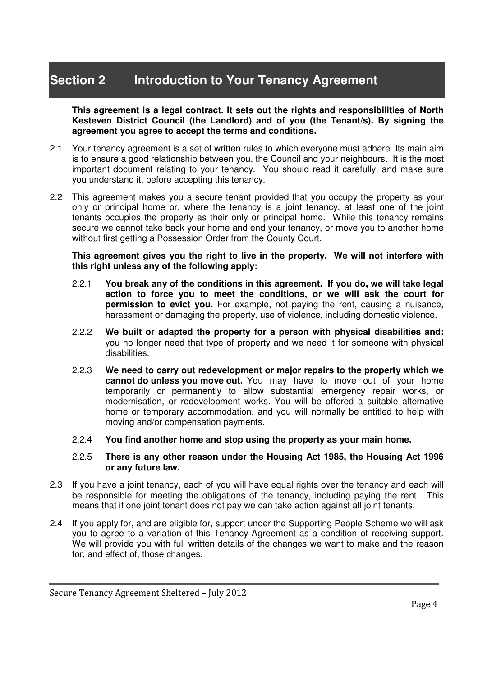# **Section 2 Introduction to Your Tenancy Agreement**

**This agreement is a legal contract. It sets out the rights and responsibilities of North Kesteven District Council (the Landlord) and of you (the Tenant/s). By signing the agreement you agree to accept the terms and conditions.** 

- 2.1 Your tenancy agreement is a set of written rules to which everyone must adhere. Its main aim is to ensure a good relationship between you, the Council and your neighbours. It is the most important document relating to your tenancy. You should read it carefully, and make sure you understand it, before accepting this tenancy.
- 2.2 This agreement makes you a secure tenant provided that you occupy the property as your only or principal home or, where the tenancy is a joint tenancy, at least one of the joint tenants occupies the property as their only or principal home. While this tenancy remains secure we cannot take back your home and end your tenancy, or move you to another home without first getting a Possession Order from the County Court.

**This agreement gives you the right to live in the property. We will not interfere with this right unless any of the following apply:** 

- 2.2.1 **You break any of the conditions in this agreement. If you do, we will take legal action to force you to meet the conditions, or we will ask the court for permission to evict you.** For example, not paying the rent, causing a nuisance, harassment or damaging the property, use of violence, including domestic violence.
- 2.2.2 **We built or adapted the property for a person with physical disabilities and:**  you no longer need that type of property and we need it for someone with physical disabilities.
- 2.2.3 **We need to carry out redevelopment or major repairs to the property which we cannot do unless you move out.** You may have to move out of your home temporarily or permanently to allow substantial emergency repair works, or modernisation, or redevelopment works. You will be offered a suitable alternative home or temporary accommodation, and you will normally be entitled to help with moving and/or compensation payments.
- 2.2.4 **You find another home and stop using the property as your main home.**

## 2.2.5 **There is any other reason under the Housing Act 1985, the Housing Act 1996 or any future law.**

- 2.3 If you have a joint tenancy, each of you will have equal rights over the tenancy and each will be responsible for meeting the obligations of the tenancy, including paying the rent. This means that if one joint tenant does not pay we can take action against all joint tenants.
- 2.4 If you apply for, and are eligible for, support under the Supporting People Scheme we will ask you to agree to a variation of this Tenancy Agreement as a condition of receiving support. We will provide you with full written details of the changes we want to make and the reason for, and effect of, those changes.

Secure Tenancy Agreement Sheltered – July 2012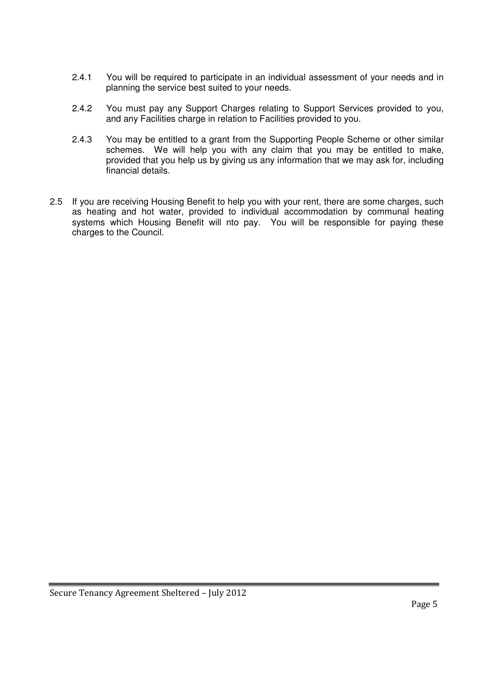- 2.4.1 You will be required to participate in an individual assessment of your needs and in planning the service best suited to your needs.
- 2.4.2 You must pay any Support Charges relating to Support Services provided to you, and any Facilities charge in relation to Facilities provided to you.
- 2.4.3 You may be entitled to a grant from the Supporting People Scheme or other similar schemes. We will help you with any claim that you may be entitled to make, provided that you help us by giving us any information that we may ask for, including financial details.
- 2.5 If you are receiving Housing Benefit to help you with your rent, there are some charges, such as heating and hot water, provided to individual accommodation by communal heating systems which Housing Benefit will nto pay. You will be responsible for paying these charges to the Council.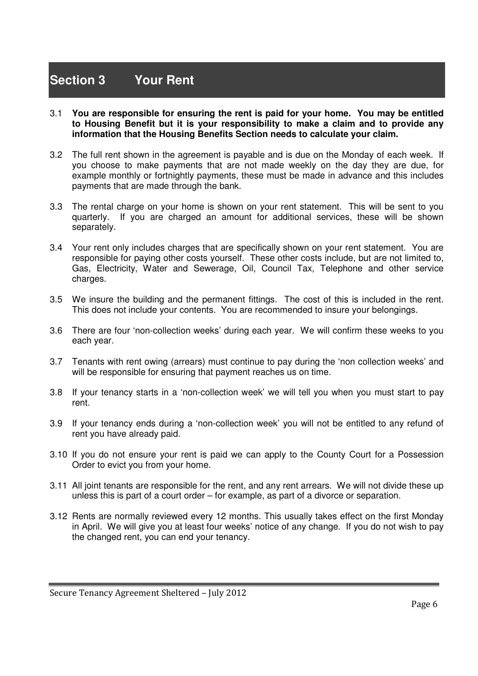# **Section 3 Your Rent**

- 3.1 **You are responsible for ensuring the rent is paid for your home. You may be entitled to Housing Benefit but it is your responsibility to make a claim and to provide any information that the Housing Benefits Section needs to calculate your claim.**
- 3.2 The full rent shown in the agreement is payable and is due on the Monday of each week. If you choose to make payments that are not made weekly on the day they are due, for example monthly or fortnightly payments, these must be made in advance and this includes payments that are made through the bank.
- 3.3 The rental charge on your home is shown on your rent statement. This will be sent to you quarterly. If you are charged an amount for additional services, these will be shown separately.
- 3.4 Your rent only includes charges that are specifically shown on your rent statement. You are responsible for paying other costs yourself. These other costs include, but are not limited to, Gas, Electricity, Water and Sewerage, Oil, Council Tax, Telephone and other service charges.
- 3.5 We insure the building and the permanent fittings. The cost of this is included in the rent. This does not include your contents. You are recommended to insure your belongings.
- 3.6 There are four 'non-collection weeks' during each year. We will confirm these weeks to you each year.
- 3.7 Tenants with rent owing (arrears) must continue to pay during the 'non collection weeks' and will be responsible for ensuring that payment reaches us on time.
- 3.8 If your tenancy starts in a 'non-collection week' we will tell you when you must start to pay rent.
- 3.9 If your tenancy ends during a 'non-collection week' you will not be entitled to any refund of rent you have already paid.
- 3.10 If you do not ensure your rent is paid we can apply to the County Court for a Possession Order to evict you from your home.
- 3.11 All joint tenants are responsible for the rent, and any rent arrears. We will not divide these up unless this is part of a court order – for example, as part of a divorce or separation.
- 3.12 Rents are normally reviewed every 12 months. This usually takes effect on the first Monday in April. We will give you at least four weeks' notice of any change. If you do not wish to pay the changed rent, you can end your tenancy.

Secure Tenancy Agreement Sheltered – July 2012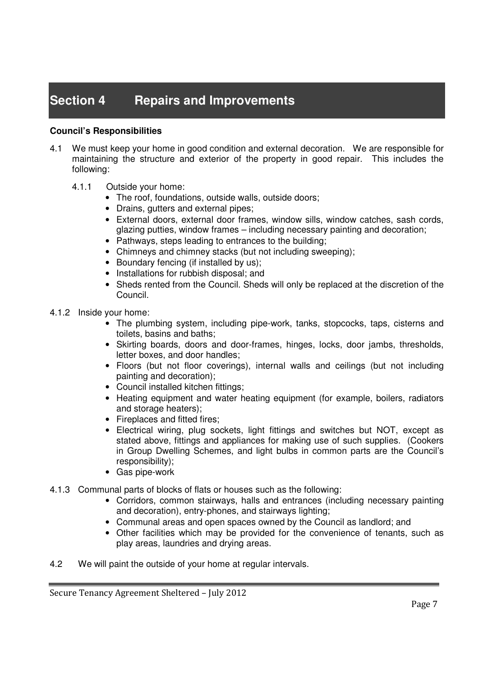# **Section 4 Repairs and Improvements**

## **Council's Responsibilities**

- 4.1 We must keep your home in good condition and external decoration. We are responsible for maintaining the structure and exterior of the property in good repair. This includes the following:
	- 4.1.1 Outside your home:
		- The roof, foundations, outside walls, outside doors;
		- Drains, gutters and external pipes;
		- External doors, external door frames, window sills, window catches, sash cords, glazing putties, window frames – including necessary painting and decoration;
		- Pathways, steps leading to entrances to the building;
		- Chimneys and chimney stacks (but not including sweeping);
		- Boundary fencing (if installed by us);
		- Installations for rubbish disposal; and
		- Sheds rented from the Council. Sheds will only be replaced at the discretion of the Council.
- 4.1.2 Inside your home:
	- The plumbing system, including pipe-work, tanks, stopcocks, taps, cisterns and toilets, basins and baths;
	- Skirting boards, doors and door-frames, hinges, locks, door jambs, thresholds, letter boxes, and door handles;
	- Floors (but not floor coverings), internal walls and ceilings (but not including painting and decoration);
	- Council installed kitchen fittings;
	- Heating equipment and water heating equipment (for example, boilers, radiators and storage heaters);
	- Fireplaces and fitted fires:
	- Electrical wiring, plug sockets, light fittings and switches but NOT, except as stated above, fittings and appliances for making use of such supplies. (Cookers in Group Dwelling Schemes, and light bulbs in common parts are the Council's responsibility);
	- Gas pipe-work
- 4.1.3 Communal parts of blocks of flats or houses such as the following:
	- Corridors, common stairways, halls and entrances (including necessary painting and decoration), entry-phones, and stairways lighting;
	- Communal areas and open spaces owned by the Council as landlord; and
	- Other facilities which may be provided for the convenience of tenants, such as play areas, laundries and drying areas.
- 4.2 We will paint the outside of your home at regular intervals.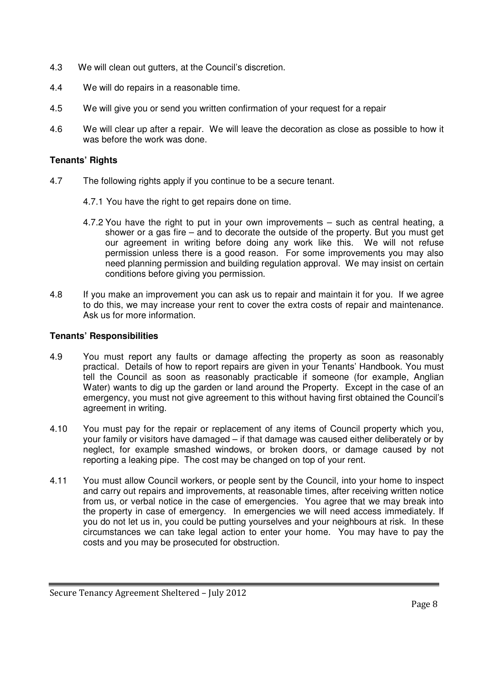- 4.3 We will clean out gutters, at the Council's discretion.
- 4.4 We will do repairs in a reasonable time.
- 4.5 We will give you or send you written confirmation of your request for a repair
- 4.6 We will clear up after a repair. We will leave the decoration as close as possible to how it was before the work was done.

## **Tenants' Rights**

- 4.7 The following rights apply if you continue to be a secure tenant.
	- 4.7.1 You have the right to get repairs done on time.
	- 4.7.2 You have the right to put in your own improvements such as central heating, a shower or a gas fire – and to decorate the outside of the property. But you must get our agreement in writing before doing any work like this. We will not refuse permission unless there is a good reason. For some improvements you may also need planning permission and building regulation approval. We may insist on certain conditions before giving you permission.
- 4.8 If you make an improvement you can ask us to repair and maintain it for you. If we agree to do this, we may increase your rent to cover the extra costs of repair and maintenance. Ask us for more information.

- 4.9 You must report any faults or damage affecting the property as soon as reasonably practical. Details of how to report repairs are given in your Tenants' Handbook. You must tell the Council as soon as reasonably practicable if someone (for example, Anglian Water) wants to dig up the garden or land around the Property. Except in the case of an emergency, you must not give agreement to this without having first obtained the Council's agreement in writing.
- 4.10 You must pay for the repair or replacement of any items of Council property which you, your family or visitors have damaged – if that damage was caused either deliberately or by neglect, for example smashed windows, or broken doors, or damage caused by not reporting a leaking pipe. The cost may be changed on top of your rent.
- 4.11 You must allow Council workers, or people sent by the Council, into your home to inspect and carry out repairs and improvements, at reasonable times, after receiving written notice from us, or verbal notice in the case of emergencies. You agree that we may break into the property in case of emergency. In emergencies we will need access immediately. If you do not let us in, you could be putting yourselves and your neighbours at risk. In these circumstances we can take legal action to enter your home. You may have to pay the costs and you may be prosecuted for obstruction.

Secure Tenancy Agreement Sheltered – July 2012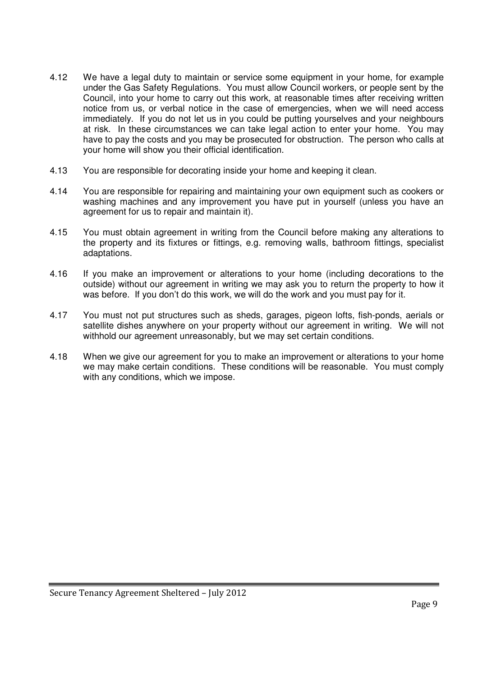- 4.12 We have a legal duty to maintain or service some equipment in your home, for example under the Gas Safety Regulations. You must allow Council workers, or people sent by the Council, into your home to carry out this work, at reasonable times after receiving written notice from us, or verbal notice in the case of emergencies, when we will need access immediately. If you do not let us in you could be putting yourselves and your neighbours at risk. In these circumstances we can take legal action to enter your home. You may have to pay the costs and you may be prosecuted for obstruction. The person who calls at your home will show you their official identification.
- 4.13 You are responsible for decorating inside your home and keeping it clean.
- 4.14 You are responsible for repairing and maintaining your own equipment such as cookers or washing machines and any improvement you have put in yourself (unless you have an agreement for us to repair and maintain it).
- 4.15 You must obtain agreement in writing from the Council before making any alterations to the property and its fixtures or fittings, e.g. removing walls, bathroom fittings, specialist adaptations.
- 4.16 If you make an improvement or alterations to your home (including decorations to the outside) without our agreement in writing we may ask you to return the property to how it was before. If you don't do this work, we will do the work and you must pay for it.
- 4.17 You must not put structures such as sheds, garages, pigeon lofts, fish-ponds, aerials or satellite dishes anywhere on your property without our agreement in writing. We will not withhold our agreement unreasonably, but we may set certain conditions.
- 4.18 When we give our agreement for you to make an improvement or alterations to your home we may make certain conditions. These conditions will be reasonable. You must comply with any conditions, which we impose.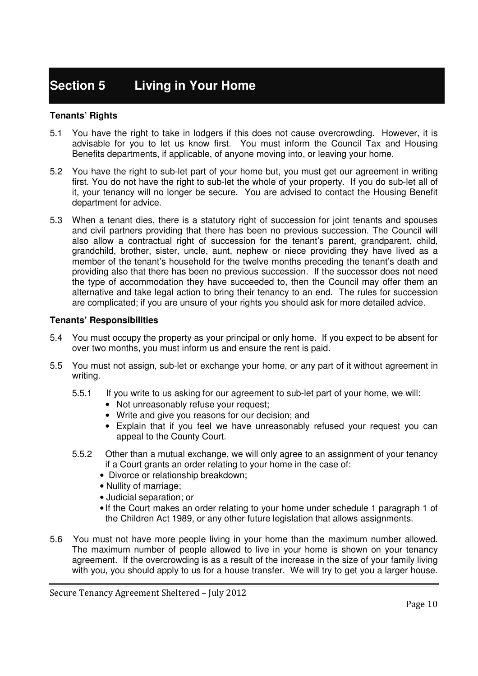# **Section 5 Living in Your Home**

## **Tenants' Rights**

- 5.1 You have the right to take in lodgers if this does not cause overcrowding. However, it is advisable for you to let us know first. You must inform the Council Tax and Housing Benefits departments, if applicable, of anyone moving into, or leaving your home.
- 5.2 You have the right to sub-let part of your home but, you must get our agreement in writing first. You do not have the right to sub-let the whole of your property. If you do sub-let all of it, your tenancy will no longer be secure. You are advised to contact the Housing Benefit department for advice.
- 5.3 When a tenant dies, there is a statutory right of succession for joint tenants and spouses and civil partners providing that there has been no previous succession. The Council will also allow a contractual right of succession for the tenant's parent, grandparent, child, grandchild, brother, sister, uncle, aunt, nephew or niece providing they have lived as a member of the tenant's household for the twelve months preceding the tenant's death and providing also that there has been no previous succession. If the successor does not need the type of accommodation they have succeeded to, then the Council may offer them an alternative and take legal action to bring their tenancy to an end. The rules for succession are complicated; if you are unsure of your rights you should ask for more detailed advice.

- 5.4 You must occupy the property as your principal or only home. If you expect to be absent for over two months, you must inform us and ensure the rent is paid.
- 5.5 You must not assign, sub-let or exchange your home, or any part of it without agreement in writing.
	- 5.5.1 If you write to us asking for our agreement to sub-let part of your home, we will:
		- Not unreasonably refuse your request;
		- Write and give you reasons for our decision; and
		- Explain that if you feel we have unreasonably refused your request you can appeal to the County Court.
	- 5.5.2 Other than a mutual exchange, we will only agree to an assignment of your tenancy if a Court grants an order relating to your home in the case of:
		- Divorce or relationship breakdown;
		- Nullity of marriage;
		- Judicial separation; or
		- If the Court makes an order relating to your home under schedule 1 paragraph 1 of the Children Act 1989, or any other future legislation that allows assignments.
- 5.6 You must not have more people living in your home than the maximum number allowed. The maximum number of people allowed to live in your home is shown on your tenancy agreement. If the overcrowding is as a result of the increase in the size of your family living with you, you should apply to us for a house transfer. We will try to get you a larger house.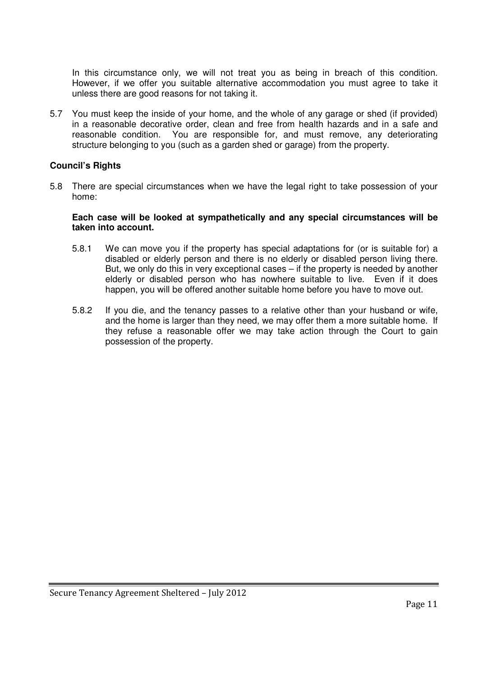In this circumstance only, we will not treat you as being in breach of this condition. However, if we offer you suitable alternative accommodation you must agree to take it unless there are good reasons for not taking it.

5.7 You must keep the inside of your home, and the whole of any garage or shed (if provided) in a reasonable decorative order, clean and free from health hazards and in a safe and reasonable condition. You are responsible for, and must remove, any deteriorating structure belonging to you (such as a garden shed or garage) from the property.

## **Council's Rights**

5.8 There are special circumstances when we have the legal right to take possession of your home:

#### **Each case will be looked at sympathetically and any special circumstances will be taken into account.**

- 5.8.1 We can move you if the property has special adaptations for (or is suitable for) a disabled or elderly person and there is no elderly or disabled person living there. But, we only do this in very exceptional cases – if the property is needed by another elderly or disabled person who has nowhere suitable to live. Even if it does happen, you will be offered another suitable home before you have to move out.
- 5.8.2 If you die, and the tenancy passes to a relative other than your husband or wife, and the home is larger than they need, we may offer them a more suitable home. If they refuse a reasonable offer we may take action through the Court to gain possession of the property.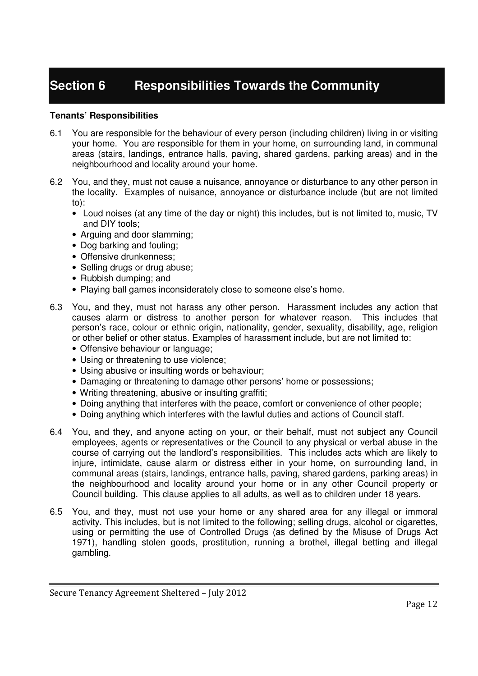# **Section 6 Responsibilities Towards the Community**

- 6.1 You are responsible for the behaviour of every person (including children) living in or visiting your home. You are responsible for them in your home, on surrounding land, in communal areas (stairs, landings, entrance halls, paving, shared gardens, parking areas) and in the neighbourhood and locality around your home.
- 6.2 You, and they, must not cause a nuisance, annoyance or disturbance to any other person in the locality. Examples of nuisance, annoyance or disturbance include (but are not limited to):
	- Loud noises (at any time of the day or night) this includes, but is not limited to, music, TV and DIY tools;
	- Arguing and door slamming;
	- Dog barking and fouling;
	- Offensive drunkenness:
	- Selling drugs or drug abuse;
	- Rubbish dumping; and
	- Playing ball games inconsiderately close to someone else's home.
- 6.3 You, and they, must not harass any other person. Harassment includes any action that causes alarm or distress to another person for whatever reason. This includes that person's race, colour or ethnic origin, nationality, gender, sexuality, disability, age, religion or other belief or other status. Examples of harassment include, but are not limited to:
	- Offensive behaviour or language;
	- Using or threatening to use violence;
	- Using abusive or insulting words or behaviour;
	- Damaging or threatening to damage other persons' home or possessions;
	- Writing threatening, abusive or insulting graffiti;
	- Doing anything that interferes with the peace, comfort or convenience of other people;
	- Doing anything which interferes with the lawful duties and actions of Council staff.
- 6.4 You, and they, and anyone acting on your, or their behalf, must not subject any Council employees, agents or representatives or the Council to any physical or verbal abuse in the course of carrying out the landlord's responsibilities. This includes acts which are likely to injure, intimidate, cause alarm or distress either in your home, on surrounding land, in communal areas (stairs, landings, entrance halls, paving, shared gardens, parking areas) in the neighbourhood and locality around your home or in any other Council property or Council building. This clause applies to all adults, as well as to children under 18 years.
- 6.5 You, and they, must not use your home or any shared area for any illegal or immoral activity. This includes, but is not limited to the following; selling drugs, alcohol or cigarettes, using or permitting the use of Controlled Drugs (as defined by the Misuse of Drugs Act 1971), handling stolen goods, prostitution, running a brothel, illegal betting and illegal gambling.

Secure Tenancy Agreement Sheltered – July 2012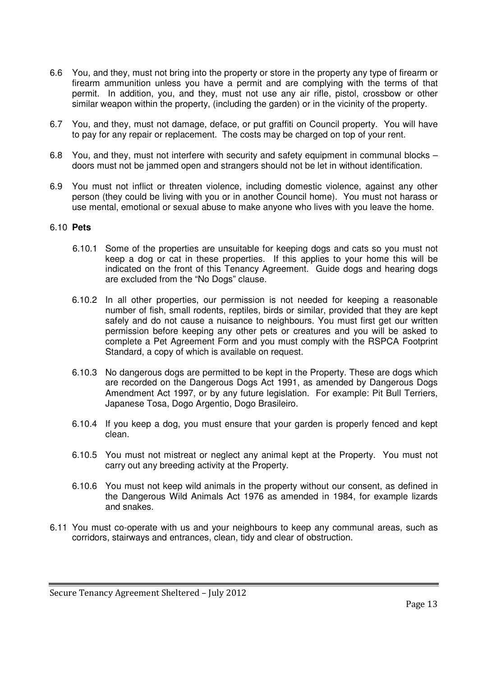- 6.6 You, and they, must not bring into the property or store in the property any type of firearm or firearm ammunition unless you have a permit and are complying with the terms of that permit. In addition, you, and they, must not use any air rifle, pistol, crossbow or other similar weapon within the property, (including the garden) or in the vicinity of the property.
- 6.7 You, and they, must not damage, deface, or put graffiti on Council property. You will have to pay for any repair or replacement. The costs may be charged on top of your rent.
- 6.8 You, and they, must not interfere with security and safety equipment in communal blocks doors must not be jammed open and strangers should not be let in without identification.
- 6.9 You must not inflict or threaten violence, including domestic violence, against any other person (they could be living with you or in another Council home). You must not harass or use mental, emotional or sexual abuse to make anyone who lives with you leave the home.

## 6.10 **Pets**

- 6.10.1 Some of the properties are unsuitable for keeping dogs and cats so you must not keep a dog or cat in these properties. If this applies to your home this will be indicated on the front of this Tenancy Agreement. Guide dogs and hearing dogs are excluded from the "No Dogs" clause.
- 6.10.2 In all other properties, our permission is not needed for keeping a reasonable number of fish, small rodents, reptiles, birds or similar, provided that they are kept safely and do not cause a nuisance to neighbours. You must first get our written permission before keeping any other pets or creatures and you will be asked to complete a Pet Agreement Form and you must comply with the RSPCA Footprint Standard, a copy of which is available on request.
- 6.10.3 No dangerous dogs are permitted to be kept in the Property. These are dogs which are recorded on the Dangerous Dogs Act 1991, as amended by Dangerous Dogs Amendment Act 1997, or by any future legislation. For example: Pit Bull Terriers, Japanese Tosa, Dogo Argentio, Dogo Brasileiro.
- 6.10.4 If you keep a dog, you must ensure that your garden is properly fenced and kept clean.
- 6.10.5 You must not mistreat or neglect any animal kept at the Property. You must not carry out any breeding activity at the Property.
- 6.10.6 You must not keep wild animals in the property without our consent, as defined in the Dangerous Wild Animals Act 1976 as amended in 1984, for example lizards and snakes.
- 6.11 You must co-operate with us and your neighbours to keep any communal areas, such as corridors, stairways and entrances, clean, tidy and clear of obstruction.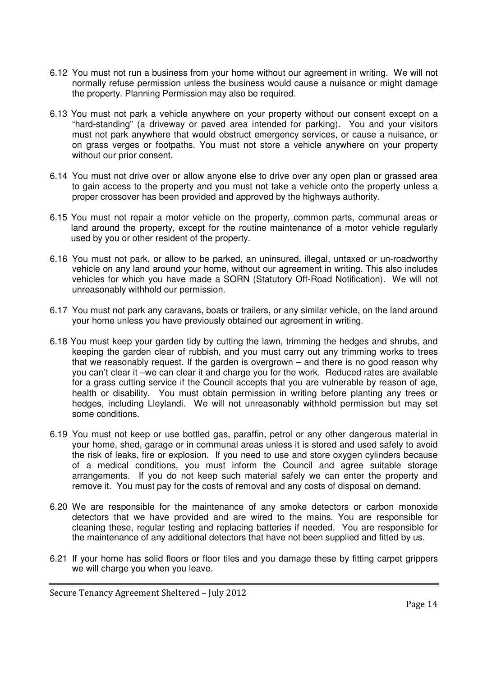- 6.12 You must not run a business from your home without our agreement in writing. We will not normally refuse permission unless the business would cause a nuisance or might damage the property. Planning Permission may also be required.
- 6.13 You must not park a vehicle anywhere on your property without our consent except on a "hard-standing" (a driveway or paved area intended for parking). You and your visitors must not park anywhere that would obstruct emergency services, or cause a nuisance, or on grass verges or footpaths. You must not store a vehicle anywhere on your property without our prior consent.
- 6.14 You must not drive over or allow anyone else to drive over any open plan or grassed area to gain access to the property and you must not take a vehicle onto the property unless a proper crossover has been provided and approved by the highways authority.
- 6.15 You must not repair a motor vehicle on the property, common parts, communal areas or land around the property, except for the routine maintenance of a motor vehicle regularly used by you or other resident of the property.
- 6.16 You must not park, or allow to be parked, an uninsured, illegal, untaxed or un-roadworthy vehicle on any land around your home, without our agreement in writing. This also includes vehicles for which you have made a SORN (Statutory Off-Road Notification). We will not unreasonably withhold our permission.
- 6.17 You must not park any caravans, boats or trailers, or any similar vehicle, on the land around your home unless you have previously obtained our agreement in writing.
- 6.18 You must keep your garden tidy by cutting the lawn, trimming the hedges and shrubs, and keeping the garden clear of rubbish, and you must carry out any trimming works to trees that we reasonably request. If the garden is overgrown – and there is no good reason why you can't clear it –we can clear it and charge you for the work. Reduced rates are available for a grass cutting service if the Council accepts that you are vulnerable by reason of age. health or disability. You must obtain permission in writing before planting any trees or hedges, including Lleylandi. We will not unreasonably withhold permission but may set some conditions.
- 6.19 You must not keep or use bottled gas, paraffin, petrol or any other dangerous material in your home, shed, garage or in communal areas unless it is stored and used safely to avoid the risk of leaks, fire or explosion. If you need to use and store oxygen cylinders because of a medical conditions, you must inform the Council and agree suitable storage arrangements. If you do not keep such material safely we can enter the property and remove it. You must pay for the costs of removal and any costs of disposal on demand.
- 6.20 We are responsible for the maintenance of any smoke detectors or carbon monoxide detectors that we have provided and are wired to the mains. You are responsible for cleaning these, regular testing and replacing batteries if needed. You are responsible for the maintenance of any additional detectors that have not been supplied and fitted by us.
- 6.21 If your home has solid floors or floor tiles and you damage these by fitting carpet grippers we will charge you when you leave.

Secure Tenancy Agreement Sheltered – July 2012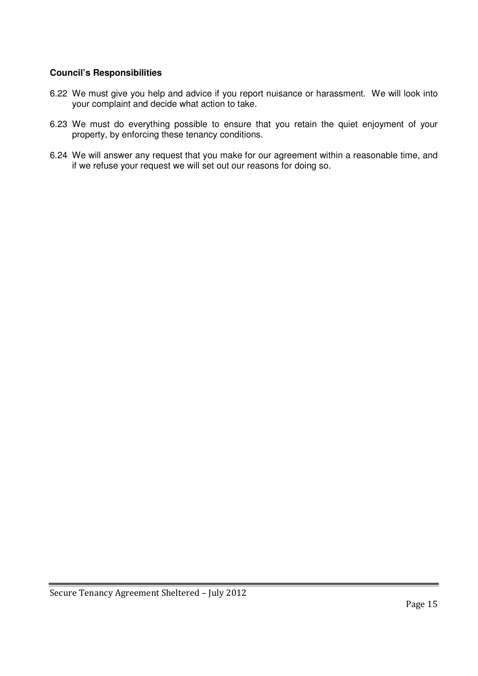# **Council's Responsibilities**

- 6.22 We must give you help and advice if you report nuisance or harassment. We will look into your complaint and decide what action to take.
- 6.23 We must do everything possible to ensure that you retain the quiet enjoyment of your property, by enforcing these tenancy conditions.
- 6.24 We will answer any request that you make for our agreement within a reasonable time, and if we refuse your request we will set out our reasons for doing so.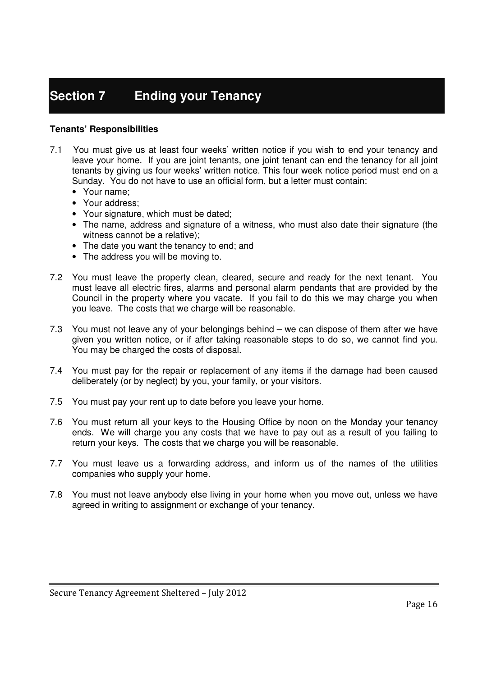# **Section 7 Ending your Tenancy**

- 7.1 You must give us at least four weeks' written notice if you wish to end your tenancy and leave your home. If you are joint tenants, one joint tenant can end the tenancy for all joint tenants by giving us four weeks' written notice. This four week notice period must end on a Sunday. You do not have to use an official form, but a letter must contain:
	- Your name;
	- Your address;
	- Your signature, which must be dated;
	- The name, address and signature of a witness, who must also date their signature (the witness cannot be a relative);
	- The date you want the tenancy to end; and
	- The address you will be moving to.
- 7.2 You must leave the property clean, cleared, secure and ready for the next tenant. You must leave all electric fires, alarms and personal alarm pendants that are provided by the Council in the property where you vacate. If you fail to do this we may charge you when you leave. The costs that we charge will be reasonable.
- 7.3 You must not leave any of your belongings behind we can dispose of them after we have given you written notice, or if after taking reasonable steps to do so, we cannot find you. You may be charged the costs of disposal.
- 7.4 You must pay for the repair or replacement of any items if the damage had been caused deliberately (or by neglect) by you, your family, or your visitors.
- 7.5 You must pay your rent up to date before you leave your home.
- 7.6 You must return all your keys to the Housing Office by noon on the Monday your tenancy ends. We will charge you any costs that we have to pay out as a result of you failing to return your keys. The costs that we charge you will be reasonable.
- 7.7 You must leave us a forwarding address, and inform us of the names of the utilities companies who supply your home.
- 7.8 You must not leave anybody else living in your home when you move out, unless we have agreed in writing to assignment or exchange of your tenancy.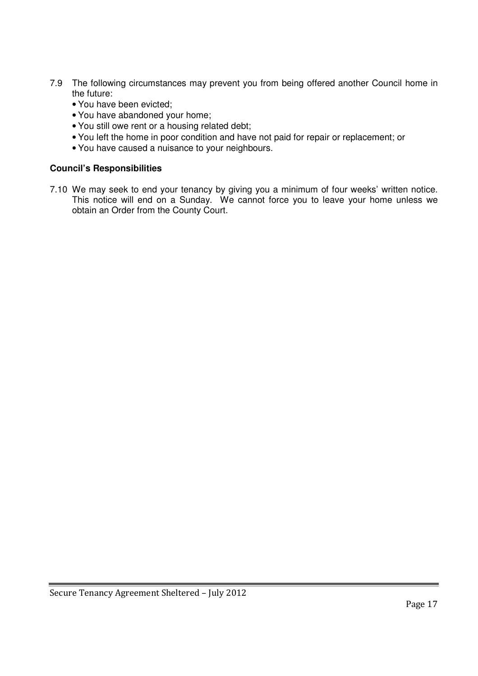- 7.9 The following circumstances may prevent you from being offered another Council home in the future:
	- You have been evicted;
	- You have abandoned your home;
	- You still owe rent or a housing related debt;
	- You left the home in poor condition and have not paid for repair or replacement; or
	- You have caused a nuisance to your neighbours.

## **Council's Responsibilities**

7.10 We may seek to end your tenancy by giving you a minimum of four weeks' written notice. This notice will end on a Sunday. We cannot force you to leave your home unless we obtain an Order from the County Court.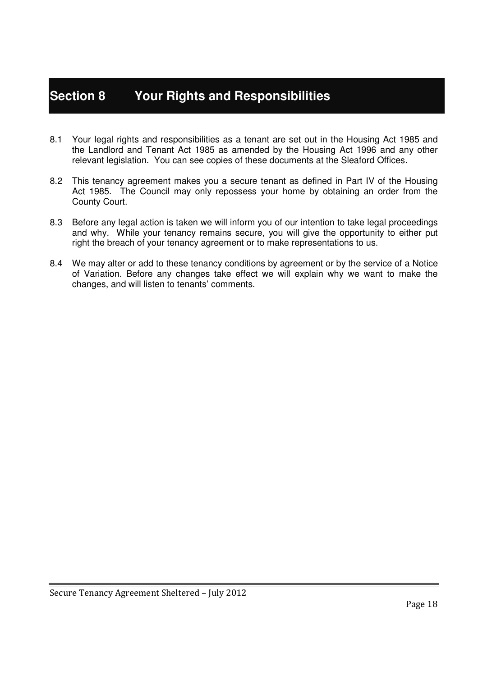# **Section 8 Your Rights and Responsibilities**

- 8.1 Your legal rights and responsibilities as a tenant are set out in the Housing Act 1985 and the Landlord and Tenant Act 1985 as amended by the Housing Act 1996 and any other relevant legislation. You can see copies of these documents at the Sleaford Offices.
- 8.2 This tenancy agreement makes you a secure tenant as defined in Part IV of the Housing Act 1985. The Council may only repossess your home by obtaining an order from the County Court.
- 8.3 Before any legal action is taken we will inform you of our intention to take legal proceedings and why. While your tenancy remains secure, you will give the opportunity to either put right the breach of your tenancy agreement or to make representations to us.
- 8.4 We may alter or add to these tenancy conditions by agreement or by the service of a Notice of Variation. Before any changes take effect we will explain why we want to make the changes, and will listen to tenants' comments.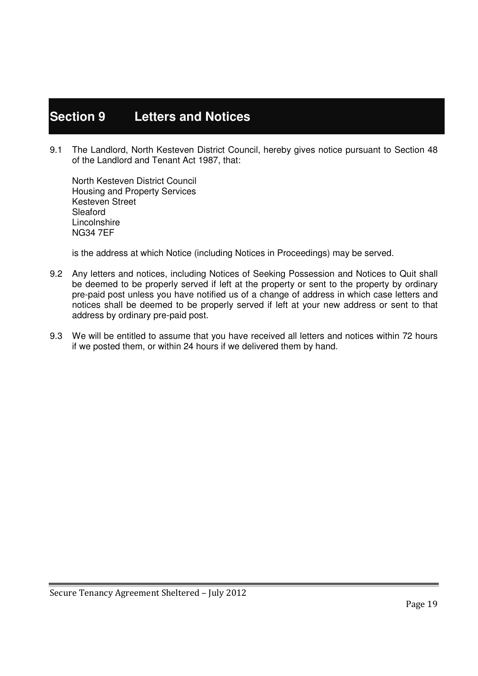# **Section 9 Letters and Notices**

9.1 The Landlord, North Kesteven District Council, hereby gives notice pursuant to Section 48 of the Landlord and Tenant Act 1987, that:

 North Kesteven District Council Housing and Property Services Kesteven Street Sleaford Lincolnshire NG34 7EF

is the address at which Notice (including Notices in Proceedings) may be served.

- 9.2 Any letters and notices, including Notices of Seeking Possession and Notices to Quit shall be deemed to be properly served if left at the property or sent to the property by ordinary pre-paid post unless you have notified us of a change of address in which case letters and notices shall be deemed to be properly served if left at your new address or sent to that address by ordinary pre-paid post.
- 9.3 We will be entitled to assume that you have received all letters and notices within 72 hours if we posted them, or within 24 hours if we delivered them by hand.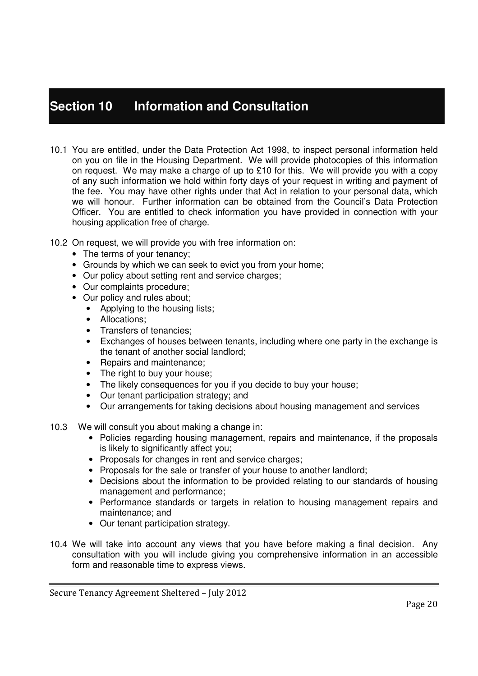# **Section 10 Information and Consultation**

- 10.1 You are entitled, under the Data Protection Act 1998, to inspect personal information held on you on file in the Housing Department. We will provide photocopies of this information on request. We may make a charge of up to £10 for this. We will provide you with a copy of any such information we hold within forty days of your request in writing and payment of the fee. You may have other rights under that Act in relation to your personal data, which we will honour. Further information can be obtained from the Council's Data Protection Officer. You are entitled to check information you have provided in connection with your housing application free of charge.
- 10.2 On request, we will provide you with free information on:
	- The terms of your tenancy;
	- Grounds by which we can seek to evict you from your home;
	- Our policy about setting rent and service charges;
	- Our complaints procedure;
	- Our policy and rules about;
		- Applying to the housing lists;
		- Allocations;
		- Transfers of tenancies;
		- Exchanges of houses between tenants, including where one party in the exchange is the tenant of another social landlord;
		- Repairs and maintenance;
		- The right to buy your house;
		- The likely consequences for you if you decide to buy your house;
		- Our tenant participation strategy; and
		- Our arrangements for taking decisions about housing management and services
- 10.3 We will consult you about making a change in:
	- Policies regarding housing management, repairs and maintenance, if the proposals is likely to significantly affect you;
	- Proposals for changes in rent and service charges;
	- Proposals for the sale or transfer of your house to another landlord:
	- Decisions about the information to be provided relating to our standards of housing management and performance;
	- Performance standards or targets in relation to housing management repairs and maintenance; and
	- Our tenant participation strategy.
- 10.4 We will take into account any views that you have before making a final decision. Any consultation with you will include giving you comprehensive information in an accessible form and reasonable time to express views.